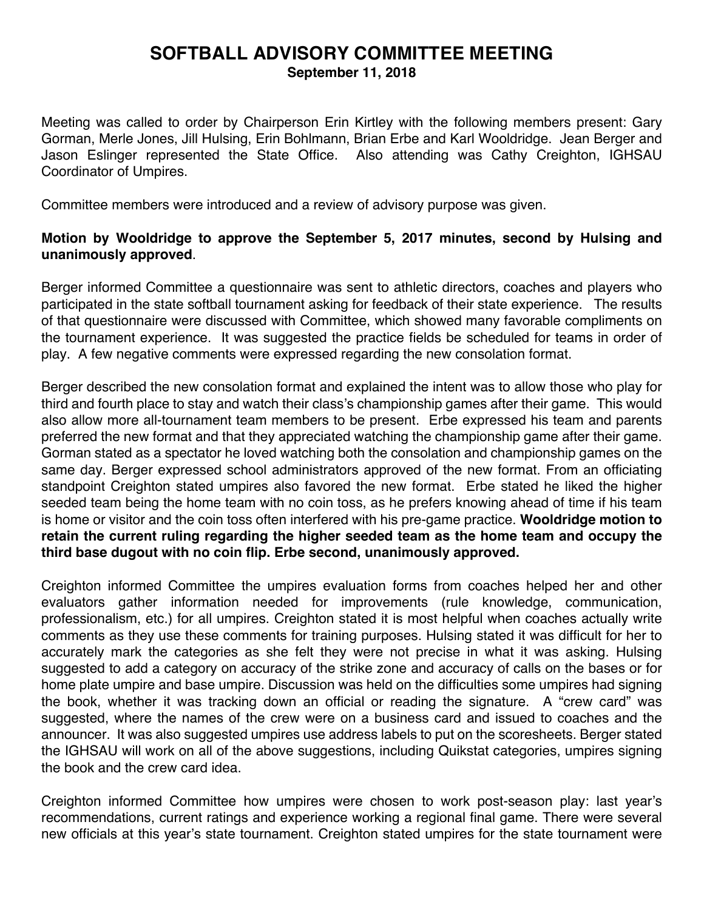## **SOFTBALL ADVISORY COMMITTEE MEETING September 11, 2018**

Meeting was called to order by Chairperson Erin Kirtley with the following members present: Gary Gorman, Merle Jones, Jill Hulsing, Erin Bohlmann, Brian Erbe and Karl Wooldridge. Jean Berger and Jason Eslinger represented the State Office. Also attending was Cathy Creighton, IGHSAU Coordinator of Umpires.

Committee members were introduced and a review of advisory purpose was given.

## **Motion by Wooldridge to approve the September 5, 2017 minutes, second by Hulsing and unanimously approved**.

Berger informed Committee a questionnaire was sent to athletic directors, coaches and players who participated in the state softball tournament asking for feedback of their state experience. The results of that questionnaire were discussed with Committee, which showed many favorable compliments on the tournament experience. It was suggested the practice fields be scheduled for teams in order of play. A few negative comments were expressed regarding the new consolation format.

Berger described the new consolation format and explained the intent was to allow those who play for third and fourth place to stay and watch their class's championship games after their game. This would also allow more all-tournament team members to be present. Erbe expressed his team and parents preferred the new format and that they appreciated watching the championship game after their game. Gorman stated as a spectator he loved watching both the consolation and championship games on the same day. Berger expressed school administrators approved of the new format. From an officiating standpoint Creighton stated umpires also favored the new format. Erbe stated he liked the higher seeded team being the home team with no coin toss, as he prefers knowing ahead of time if his team is home or visitor and the coin toss often interfered with his pre-game practice. **Wooldridge motion to retain the current ruling regarding the higher seeded team as the home team and occupy the third base dugout with no coin flip. Erbe second, unanimously approved.** 

Creighton informed Committee the umpires evaluation forms from coaches helped her and other evaluators gather information needed for improvements (rule knowledge, communication, professionalism, etc.) for all umpires. Creighton stated it is most helpful when coaches actually write comments as they use these comments for training purposes. Hulsing stated it was difficult for her to accurately mark the categories as she felt they were not precise in what it was asking. Hulsing suggested to add a category on accuracy of the strike zone and accuracy of calls on the bases or for home plate umpire and base umpire. Discussion was held on the difficulties some umpires had signing the book, whether it was tracking down an official or reading the signature. A "crew card" was suggested, where the names of the crew were on a business card and issued to coaches and the announcer. It was also suggested umpires use address labels to put on the scoresheets. Berger stated the IGHSAU will work on all of the above suggestions, including Quikstat categories, umpires signing the book and the crew card idea.

Creighton informed Committee how umpires were chosen to work post-season play: last year's recommendations, current ratings and experience working a regional final game. There were several new officials at this year's state tournament. Creighton stated umpires for the state tournament were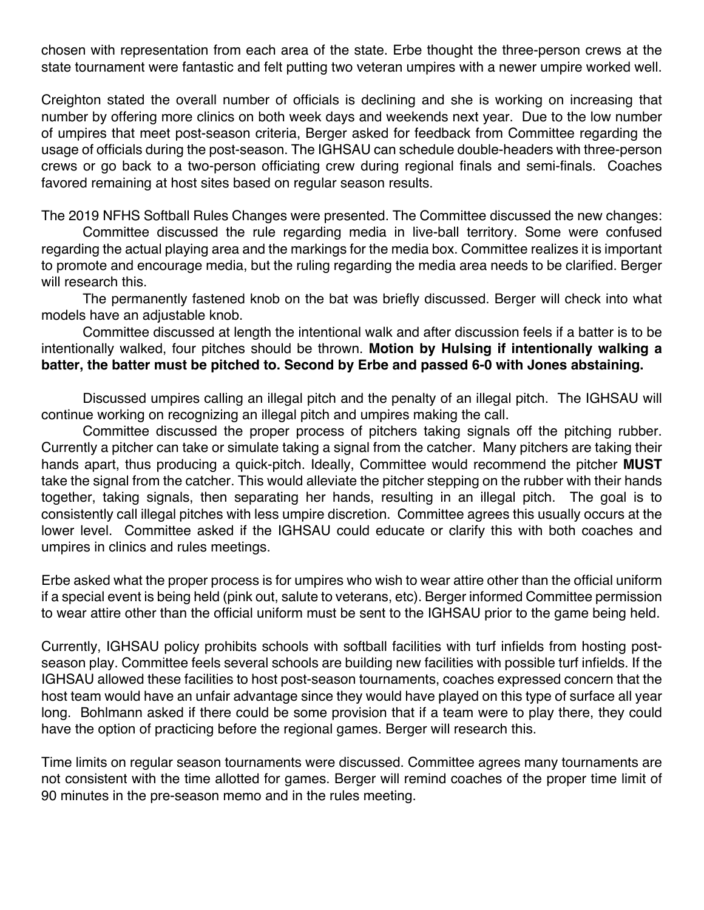chosen with representation from each area of the state. Erbe thought the three-person crews at the state tournament were fantastic and felt putting two veteran umpires with a newer umpire worked well.

Creighton stated the overall number of officials is declining and she is working on increasing that number by offering more clinics on both week days and weekends next year. Due to the low number of umpires that meet post-season criteria, Berger asked for feedback from Committee regarding the usage of officials during the post-season. The IGHSAU can schedule double-headers with three-person crews or go back to a two-person officiating crew during regional finals and semi-finals. Coaches favored remaining at host sites based on regular season results.

The 2019 NFHS Softball Rules Changes were presented. The Committee discussed the new changes:

Committee discussed the rule regarding media in live-ball territory. Some were confused regarding the actual playing area and the markings for the media box. Committee realizes it is important to promote and encourage media, but the ruling regarding the media area needs to be clarified. Berger will research this.

The permanently fastened knob on the bat was briefly discussed. Berger will check into what models have an adjustable knob.

Committee discussed at length the intentional walk and after discussion feels if a batter is to be intentionally walked, four pitches should be thrown. **Motion by Hulsing if intentionally walking a batter, the batter must be pitched to. Second by Erbe and passed 6-0 with Jones abstaining.**

Discussed umpires calling an illegal pitch and the penalty of an illegal pitch. The IGHSAU will continue working on recognizing an illegal pitch and umpires making the call.

Committee discussed the proper process of pitchers taking signals off the pitching rubber. Currently a pitcher can take or simulate taking a signal from the catcher. Many pitchers are taking their hands apart, thus producing a quick-pitch. Ideally, Committee would recommend the pitcher **MUST** take the signal from the catcher. This would alleviate the pitcher stepping on the rubber with their hands together, taking signals, then separating her hands, resulting in an illegal pitch. The goal is to consistently call illegal pitches with less umpire discretion. Committee agrees this usually occurs at the lower level. Committee asked if the IGHSAU could educate or clarify this with both coaches and umpires in clinics and rules meetings.

Erbe asked what the proper process is for umpires who wish to wear attire other than the official uniform if a special event is being held (pink out, salute to veterans, etc). Berger informed Committee permission to wear attire other than the official uniform must be sent to the IGHSAU prior to the game being held.

Currently, IGHSAU policy prohibits schools with softball facilities with turf infields from hosting postseason play. Committee feels several schools are building new facilities with possible turf infields. If the IGHSAU allowed these facilities to host post-season tournaments, coaches expressed concern that the host team would have an unfair advantage since they would have played on this type of surface all year long. Bohlmann asked if there could be some provision that if a team were to play there, they could have the option of practicing before the regional games. Berger will research this.

Time limits on regular season tournaments were discussed. Committee agrees many tournaments are not consistent with the time allotted for games. Berger will remind coaches of the proper time limit of 90 minutes in the pre-season memo and in the rules meeting.